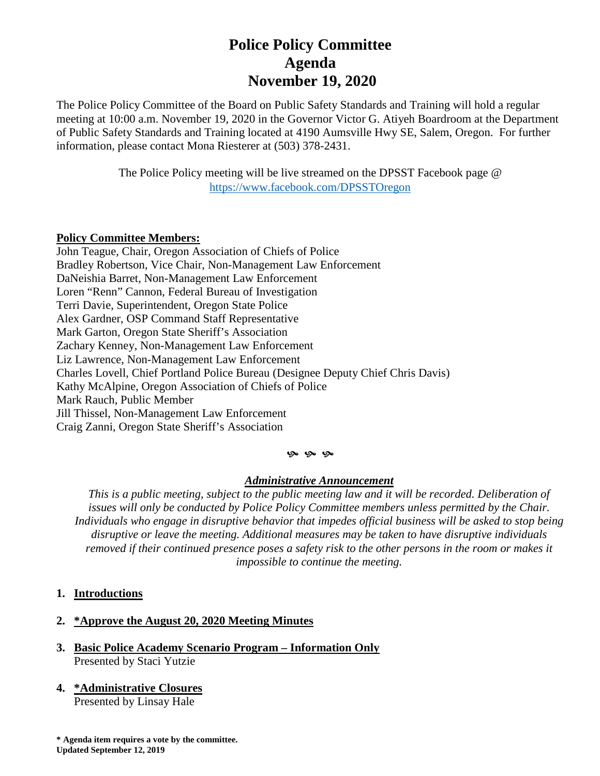## **Police Policy Committee Agenda November 19, 2020**

The Police Policy Committee of the Board on Public Safety Standards and Training will hold a regular meeting at 10:00 a.m. November 19, 2020 in the Governor Victor G. Atiyeh Boardroom at the Department of Public Safety Standards and Training located at 4190 Aumsville Hwy SE, Salem, Oregon. For further information, please contact Mona Riesterer at (503) 378-2431.

> The Police Policy meeting will be live streamed on the DPSST Facebook page @ <https://www.facebook.com/DPSSTOregon>

## **Policy Committee Members:**

John Teague, Chair, Oregon Association of Chiefs of Police Bradley Robertson, Vice Chair, Non-Management Law Enforcement DaNeishia Barret, Non-Management Law Enforcement Loren "Renn" Cannon, Federal Bureau of Investigation Terri Davie, Superintendent, Oregon State Police Alex Gardner, OSP Command Staff Representative Mark Garton, Oregon State Sheriff's Association Zachary Kenney, Non-Management Law Enforcement Liz Lawrence, Non-Management Law Enforcement Charles Lovell, Chief Portland Police Bureau (Designee Deputy Chief Chris Davis) Kathy McAlpine, Oregon Association of Chiefs of Police Mark Rauch, Public Member Jill Thissel, Non-Management Law Enforcement Craig Zanni, Oregon State Sheriff's Association

**G** G G

## *Administrative Announcement*

*This is a public meeting, subject to the public meeting law and it will be recorded. Deliberation of issues will only be conducted by Police Policy Committee members unless permitted by the Chair. Individuals who engage in disruptive behavior that impedes official business will be asked to stop being disruptive or leave the meeting. Additional measures may be taken to have disruptive individuals removed if their continued presence poses a safety risk to the other persons in the room or makes it impossible to continue the meeting.*

- **1. Introductions**
- **2. \*Approve the August 20, 2020 Meeting Minutes**
- **3. Basic Police Academy Scenario Program – Information Only** Presented by Staci Yutzie
- **4. \*Administrative Closures**  Presented by Linsay Hale